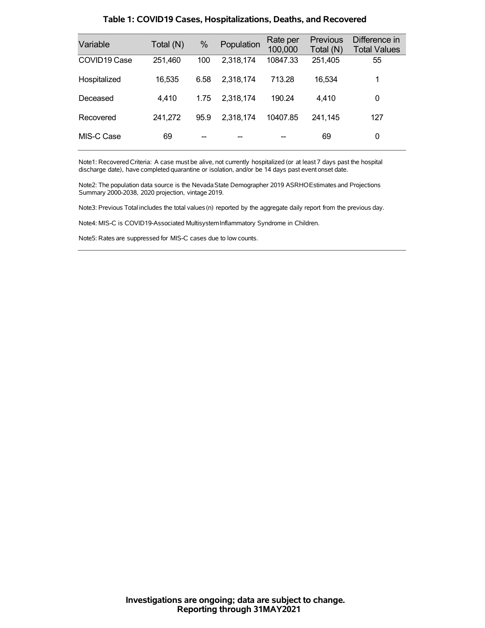| Variable                 | Total (N) | $\%$ | Population | Rate per<br>100,000 | <b>Previous</b><br>Total (N) | Difference in<br><b>Total Values</b> |
|--------------------------|-----------|------|------------|---------------------|------------------------------|--------------------------------------|
| COVID <sub>19</sub> Case | 251,460   | 100  | 2,318,174  | 10847.33            | 251,405                      | 55                                   |
| Hospitalized             | 16,535    | 6.58 | 2,318,174  | 713.28              | 16,534                       | 1                                    |
| Deceased                 | 4,410     | 1.75 | 2,318,174  | 190.24              | 4.410                        | 0                                    |
| Recovered                | 241,272   | 95.9 | 2,318,174  | 10407.85            | 241.145                      | 127                                  |
| MIS-C Case               | 69        |      |            |                     | 69                           | 0                                    |

### **Table 1: COVID19 Cases, Hospitalizations, Deaths, and Recovered**

Note1: Recovered Criteria: A case must be alive, not currently hospitalized (or at least 7 days past the hospital discharge date), have completed quarantine or isolation, and/or be 14 days past event onset date.

Note2: The population data source is the Nevada State Demographer 2019 ASRHOEstimates and Projections Summary 2000-2038, 2020 projection, vintage 2019.

Note3: Previous Total includes the total values(n) reported by the aggregate daily report from the previous day.

Note4: MIS-C is COVID19-Associated MultisystemInflammatory Syndrome in Children.

Note5: Rates are suppressed for MIS-C cases due to low counts.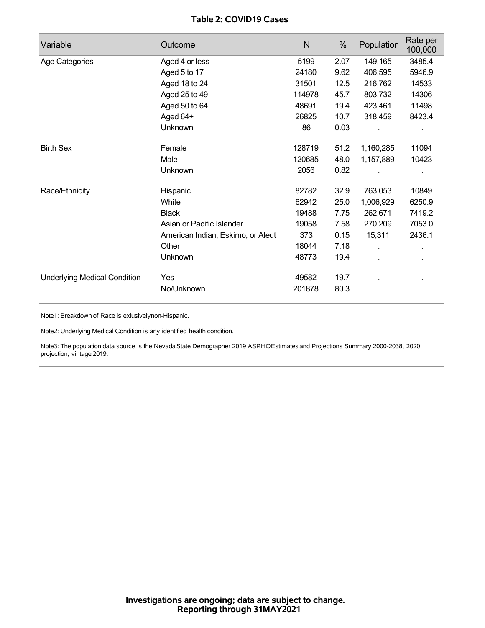## **Table 2: COVID19 Cases**

| Variable                            | Outcome                           | N      | %    | Population | Rate per<br>100,000 |
|-------------------------------------|-----------------------------------|--------|------|------------|---------------------|
| Age Categories                      | Aged 4 or less                    | 5199   | 2.07 | 149,165    | 3485.4              |
|                                     | Aged 5 to 17                      | 24180  | 9.62 | 406,595    | 5946.9              |
|                                     | Aged 18 to 24                     | 31501  | 12.5 | 216,762    | 14533               |
|                                     | Aged 25 to 49                     | 114978 | 45.7 | 803,732    | 14306               |
|                                     | Aged 50 to 64                     | 48691  | 19.4 | 423,461    | 11498               |
|                                     | Aged 64+                          | 26825  | 10.7 | 318,459    | 8423.4              |
|                                     | Unknown                           | 86     | 0.03 |            |                     |
| <b>Birth Sex</b>                    | Female                            | 128719 | 51.2 | 1,160,285  | 11094               |
|                                     | Male                              | 120685 | 48.0 | 1,157,889  | 10423               |
|                                     | Unknown                           | 2056   | 0.82 |            |                     |
| Race/Ethnicity                      | Hispanic                          | 82782  | 32.9 | 763,053    | 10849               |
|                                     | White                             | 62942  | 25.0 | 1,006,929  | 6250.9              |
|                                     | <b>Black</b>                      | 19488  | 7.75 | 262,671    | 7419.2              |
|                                     | Asian or Pacific Islander         | 19058  | 7.58 | 270,209    | 7053.0              |
|                                     | American Indian, Eskimo, or Aleut | 373    | 0.15 | 15,311     | 2436.1              |
|                                     | Other                             | 18044  | 7.18 | Ĭ.         |                     |
|                                     | <b>Unknown</b>                    | 48773  | 19.4 |            |                     |
| <b>Underlying Medical Condition</b> | Yes                               | 49582  | 19.7 |            |                     |
|                                     | No/Unknown                        | 201878 | 80.3 |            |                     |

Note1: Breakdown of Race is exlusivelynon-Hispanic.

Note2: Underlying Medical Condition is any identified health condition.

Note3: The population data source is the NevadaState Demographer 2019 ASRHOEstimates and Projections Summary 2000-2038, 2020 projection, vintage 2019.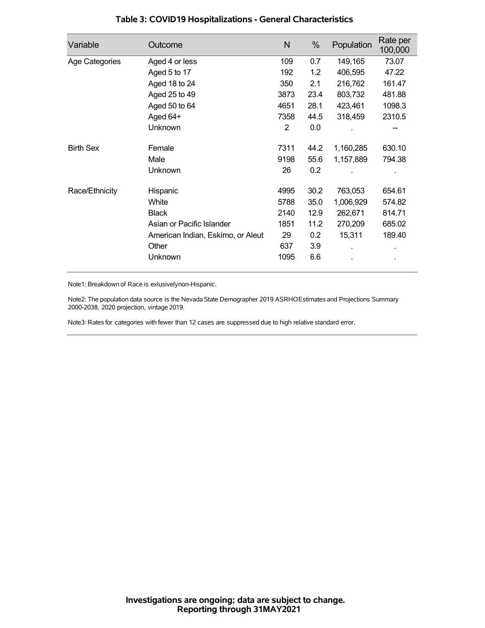| Variable         | Outcome                           | N    | %    | Population | Rate per<br>100,000 |
|------------------|-----------------------------------|------|------|------------|---------------------|
| Age Categories   | Aged 4 or less                    | 109  | 0.7  | 149,165    | 73.07               |
|                  | Aged 5 to 17                      | 192  | 1.2  | 406,595    | 47.22               |
|                  | Aged 18 to 24                     | 350  | 2.1  | 216,762    | 161.47              |
|                  | Aged 25 to 49                     | 3873 | 23.4 | 803,732    | 481.88              |
|                  | Aged 50 to 64                     | 4651 | 28.1 | 423,461    | 1098.3              |
|                  | Aged 64+                          | 7358 | 44.5 | 318,459    | 2310.5              |
|                  | Unknown                           | 2    | 0.0  |            |                     |
| <b>Birth Sex</b> | Female                            | 7311 | 44.2 | 1,160,285  | 630.10              |
|                  | Male                              | 9198 | 55.6 | 1,157,889  | 794.38              |
|                  | <b>Unknown</b>                    | 26   | 0.2  |            |                     |
| Race/Ethnicity   | Hispanic                          | 4995 | 30.2 | 763,053    | 654.61              |
|                  | White                             | 5788 | 35.0 | 1,006,929  | 574.82              |
|                  | <b>Black</b>                      | 2140 | 12.9 | 262,671    | 814.71              |
|                  | Asian or Pacific Islander         | 1851 | 11.2 | 270,209    | 685.02              |
|                  | American Indian, Eskimo, or Aleut | 29   | 0.2  | 15,311     | 189.40              |
|                  | Other                             | 637  | 3.9  |            |                     |
|                  | Unknown                           | 1095 | 6.6  |            |                     |

## **Table 3: COVID19 Hospitalizations - General Characteristics**

Note1: Breakdown of Race is exlusivelynon-Hispanic.

Note2: The population data source is the Nevada State Demographer 2019 ASRHOEstimates and Projections Summary 2000-2038, 2020 projection, vintage 2019.

Note3: Rates for categories with fewer than 12 cases are suppressed due to high relative standard error.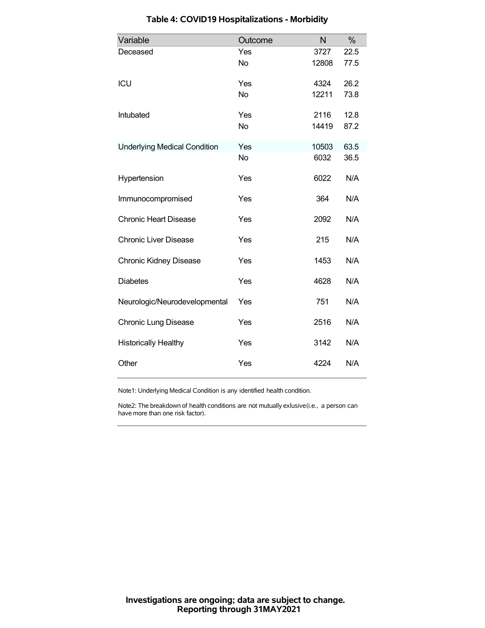| Variable                            | Outcome   | N     | $\%$ |
|-------------------------------------|-----------|-------|------|
| Deceased                            | Yes       | 3727  | 22.5 |
|                                     | <b>No</b> | 12808 | 77.5 |
| ICU                                 | Yes       | 4324  | 26.2 |
|                                     | <b>No</b> | 12211 | 73.8 |
| Intubated                           | Yes       | 2116  | 12.8 |
|                                     | <b>No</b> | 14419 | 87.2 |
| <b>Underlying Medical Condition</b> | Yes       | 10503 | 63.5 |
|                                     | <b>No</b> | 6032  | 36.5 |
| Hypertension                        | Yes       | 6022  | N/A  |
| Immunocompromised                   | Yes       | 364   | N/A  |
| <b>Chronic Heart Disease</b>        | Yes       | 2092  | N/A  |
| <b>Chronic Liver Disease</b>        | Yes       | 215   | N/A  |
| <b>Chronic Kidney Disease</b>       | Yes       | 1453  | N/A  |
| <b>Diabetes</b>                     | Yes       | 4628  | N/A  |
| Neurologic/Neurodevelopmental       | Yes       | 751   | N/A  |
| <b>Chronic Lung Disease</b>         | Yes       | 2516  | N/A  |
| <b>Historically Healthy</b>         | Yes       | 3142  | N/A  |
| Other                               | Yes       | 4224  | N/A  |

# **Table 4: COVID19 Hospitalizations - Morbidity**

Note1: Underlying Medical Condition is any identified health condition.

Note2: The breakdown of health conditions are not mutually exlusive(i.e., a person can have more than one risk factor).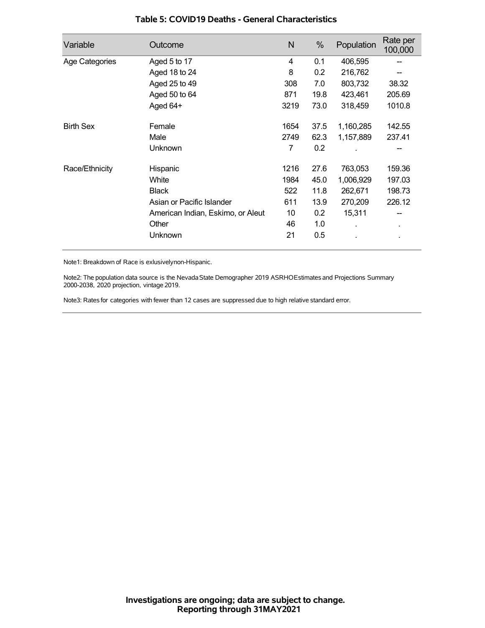| Variable         | Outcome                           | N    | %    | Population | Rate per<br>100,000 |
|------------------|-----------------------------------|------|------|------------|---------------------|
| Age Categories   | Aged 5 to 17                      | 4    | 0.1  | 406,595    |                     |
|                  | Aged 18 to 24                     | 8    | 0.2  | 216,762    |                     |
|                  | Aged 25 to 49                     | 308  | 7.0  | 803,732    | 38.32               |
|                  | Aged 50 to 64                     | 871  | 19.8 | 423,461    | 205.69              |
|                  | Aged 64+                          | 3219 | 73.0 | 318,459    | 1010.8              |
| <b>Birth Sex</b> | Female                            | 1654 | 37.5 | 1,160,285  | 142.55              |
|                  | Male                              | 2749 | 62.3 | 1,157,889  | 237.41              |
|                  | Unknown                           | 7    | 0.2  |            |                     |
| Race/Ethnicity   | Hispanic                          | 1216 | 27.6 | 763,053    | 159.36              |
|                  | White                             | 1984 | 45.0 | 1,006,929  | 197.03              |
|                  | <b>Black</b>                      | 522  | 11.8 | 262,671    | 198.73              |
|                  | Asian or Pacific Islander         | 611  | 13.9 | 270,209    | 226.12              |
|                  | American Indian, Eskimo, or Aleut | 10   | 0.2  | 15,311     | --                  |
|                  | Other                             | 46   | 1.0  |            | ٠                   |
|                  | Unknown                           | 21   | 0.5  |            | ×,                  |

### **Table 5: COVID19 Deaths - General Characteristics**

Note1: Breakdown of Race is exlusivelynon-Hispanic.

Note2: The population data source is the Nevada State Demographer 2019 ASRHOEstimates and Projections Summary 2000-2038, 2020 projection, vintage 2019.

Note3: Rates for categories with fewer than 12 cases are suppressed due to high relative standard error.